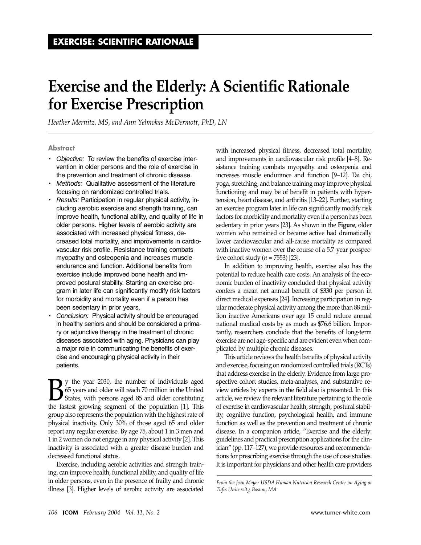# **Exercise and the Elderly: A Scientific Rationale for Exercise Prescription**

*Heather Mernitz, MS, and Ann Yelmokas McDermott, PhD, LN* 

#### **Abstract**

- • *Objective:* To review the benefits of exercise intervention in older persons and the role of exercise in the prevention and treatment of chronic disease.
- • *Methods:* Qualitative assessment of the literature focusing on randomized controlled trials.
- • *Results:* Participation in regular physical activity, including aerobic exercise and strength training, can improve health, functional ability, and quality of life in older persons. Higher levels of aerobic activity are associated with increased physical fitness, decreased total mortality, and improvements in cardiovascular risk profile. Resistance training combats myopathy and osteopenia and increases muscle endurance and function. Additional benefits from exercise include improved bone health and improved postural stability. Starting an exercise program in later life can significantly modify risk factors for morbidity and mortality even if a person has been sedentary in prior years.
- Conclusion: Physical activity should be encouraged in healthy seniors and should be considered a primary or adjunctive therapy in the treatment of chronic diseases associated with aging. Physicians can play a major role in communicating the benefits of exercise and encouraging physical activity in their patients.

**By** the year 2030, the number of individuals aged<br>65 years and older will reach 70 million in the United<br>States, with persons aged 85 and older constituting<br>the fastest growing segment of the population [1]. This 65 years and older will reach 70 million in the United States, with persons aged 85 and older constituting the fastest growing segment of the population [\[1\]](#page-6-0). This group also represents the population with the highest rate of physical inactivity. Only 30% of those aged 65 and older report any regular exercise. By age 75, about 1 in 3 men and 1 in [2](#page-6-0) women do not engage in any physical activity [2]. This inactivity is associated with a greater disease burden and decreased functional status.

Exercise, including aerobic activities and strength training, can improve health, functional ability, and quality of life in older persons, even in the presence of frailty and chronic illness [\[3](#page-6-0)]. Higher levels of aerobic activity are associated with increased physical fitness, decreased total mortality, and improvements in cardiovascular risk profile [4–8]. Resistance training combats myopathy and osteopenia and increases muscle endurance and function [9–12]. Tai chi, yoga, stretching, and balance training may improve physical functioning and may be of benefit in patients with hypertension, heart disease, and arthritis [13–22]. Further, starting an exercise program later in life can significantly modify risk factors for morbidity and mortality even if a person has been sedentary in prior years [\[23\]](#page-6-0). As shown in the **Figure**, older women who remained or became active had dramatically lower cardiovascular and all-cause mortality as compared with inactive women over the course of a 5.7-year prospective cohort study (*n* = 7553) [23].

In addition to improving health, exercise also has the potential to reduce health care costs. An analysis of the economic burden of inactivity concluded that physical activity confers a mean net annual benefit of \$330 per person in direct medical expenses [\[24\]](#page-6-0). Increasing participation in regular moderate physical activity among the more than 88 million inactive Americans over age 15 could reduce annual national medical costs by as much as \$76.6 billion. Importantly, researchers conclude that the benefits of long-term exercise are not age-specific and are evident even when complicated by multiple chronic diseases.

This article reviews the health benefits of physical activity and exercise, focusing on randomized controlled trials (RCTs) that address exercise in the elderly. Evidence from large prospective cohort studies, meta-analyses, and substantive review articles by experts in the field also is presented. In this article, we review the relevant literature pertaining to the role of exercise in cardiovascular health, strength, postural stability, cognitive function, psychological health, and immune function as well as the prevention and treatment of chronic disease. In a companion article, "Exercise and the elderly: guidelines and practical prescription applications for the clinician" (pp. 117–127), we provide resources and recommendations for prescribing exercise through the use of case studies. It is important for physicians and other health care providers

*From the Jean Mayer USDA Human Nutrition Research Center on Aging at Tufts University, Boston, MA.*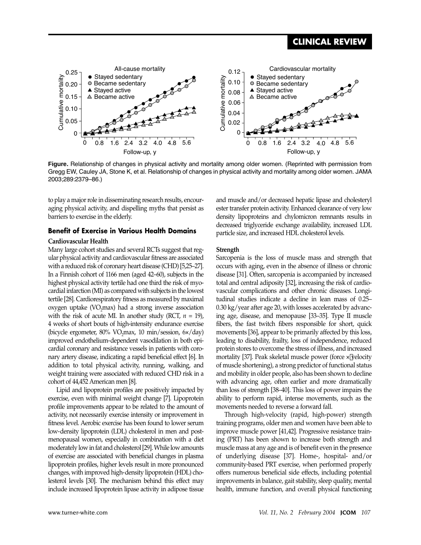### **CLINICAL REVIEW**



**Figure.** Relationship of changes in physical activity and mortality among older women. (Reprinted with permission from Gregg EW, Cauley JA, Stone K, et al. Relationship of changes in physical activity and mortality among older women. JAMA 2003;289:2379–86.)

to play a major role in disseminating research results, encouraging physical activity, and dispelling myths that persist as barriers to exercise in the elderly.

### **Benefit of Exercise in Various Health Domains**

#### **Cardiovascular Health**

Many large cohort studies and several RCTs suggest that regular physical activity and cardiovascular fitness are associated with a reduced risk of coronary heart disease (CHD) [5,25–27]. In a Finnish cohort of 1166 men (aged 42–60), subjects in the highest physical activity tertile had one third the risk of myocardial infarction (MI) as compared with subjects in the lowest tertile [\[28](#page-6-0)]. Cardiorespiratory fitness as measured by maximal oxygen uptake (VO<sub>2</sub>max) had a strong inverse association with the risk of acute MI. In another study (RCT, *n* = 19), 4 weeks of short bouts of high-intensity endurance exercise (bicycle ergometer, 80% VO<sub>2</sub>max, 10 min/session, 6×/day) improved endothelium-dependent vasodilation in both epicardial coronary and resistance vessels in patients with coronary artery disease, indicating a rapid beneficial effect [\[6\]](#page-6-0). In addition to total physical activity, running, walking, and weight training were associated with reduced CHD risk in a cohort of 44,452 American men [\[8\]](#page-6-0).

Lipid and lipoprotein profiles are positively impacted by exercise, even with minimal weight change [\[7\]](#page-6-0). Lipoprotein profile improvements appear to be related to the amount of activity, not necessarily exercise intensity or improvement in fitness level. Aerobic exercise has been found to lower serum low-density lipoprotein (LDL) cholesterol in men and postmenopausal women, especially in combination with a diet moderately low in fat and cholesterol [[29\]](#page-6-0). While low amounts of exercise are associated with beneficial changes in plasma lipoprotein profiles, higher levels result in more pronounced changes, with improved high-density lipoprotein (HDL) cholesterol levels [\[30](#page-6-0)]. The mechanism behind this effect may include increased lipoprotein lipase activity in adipose tissue and muscle and/or decreased hepatic lipase and cholesteryl ester transfer protein activity. Enhanced clearance of very low density lipoproteins and chylomicron remnants results in decreased triglyceride exchange availability, increased LDL particle size, and increased HDL cholesterol levels.

#### **Strength**

Sarcopenia is the loss of muscle mass and strength that occurs with aging, even in the absence of illness or chronic disease [\[31\]](#page-6-0). Often, sarcopenia is accompanied by increased total and central adiposity [\[32\]](#page-6-0), increasing the risk of cardiovascular complications and other chronic diseases. Longitudinal studies indicate a decline in lean mass of 0.25– 0.30 kg/year after age 20, with losses accelerated by advancing age, disease, and menopause [33–35]. Type II muscle fibers, the fast twitch fibers responsible for short, quick movements [[36](#page-7-0)], appear to be primarily affected by this loss, leading to disability, frailty, loss of independence, reduced protein stores to overcome the stress of illness, and increased mortality [37]. Peak skeletal muscle power (force  $\times$  velocity of muscle shortening), a strong predictor of functional status and mobility in older people, also has been shown to decline with advancing age, often earlier and more dramatically than loss of strength [38–40]. This loss of power impairs the ability to perform rapid, intense movements, such as the movements needed to reverse a forward fall.

Through high-velocity (rapid, high-power) strength training programs, older men and women have been able to improve muscle power [41,42]. Progressive resistance training (PRT) has been shown to increase both strength and muscle mass at any age and is of benefit even in the presence of underlying disease [[37\]](#page-7-0). Home-, hospital- and/or community-based PRT exercise, when performed properly offers numerous beneficial side effects, including potential improvements in balance, gait stability, sleep quality, mental health, immune function, and overall physical functioning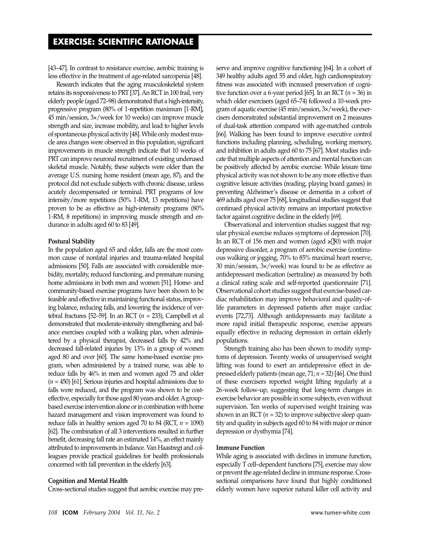[43–47]. In contrast to resistance exercise, aerobic training is less effective in the treatment of age-related sarcopenia [\[48\]](#page-7-0).

Research indicates that the aging musculoskeletal system retains its responsiveness to PRT [\[37\]](#page-7-0). An RCT in 100 frail, very elderly people (aged 72–98) demonstrated that a high-intensity, progressive program (80% of 1-repetition maximum [1-RM], 45 min/session, 3×/week for 10 weeks) can improve muscle strength and size, increase mobility, and lead to higher levels of spontaneous physical activity [\[48\]](#page-7-0). While only modest muscle area changes were observed in this population, significant improvements in muscle strength indicate that 10 weeks of PRT can improve neuronal recruitment of existing underused skeletal muscle. Notably, these subjects were older than the average U.S. nursing home resident (mean age, 87), and the protocol did not exclude subjects with chronic disease, unless acutely decompensated or terminal. PRT programs of low intensity/more repetitions (50% 1-RM, 13 repetitions) have proven to be as effective as high-intensity programs (80% 1-RM, 8 repetitions) in improving muscle strength and endurance in adults aged 60 to 83 [\[49\]](#page-7-0).

#### **Postural Stability**

In the population aged 65 and older, falls are the most common cause of nonfatal injuries and trauma-related hospital admissions [\[50\]](#page-7-0). Falls are associated with considerable morbidity, mortality, reduced functioning, and premature nursing home admissions in both men and women [\[51\]](#page-7-0). Home- and community-based exercise programs have been shown to be feasible and effective in maintaining functional status, improving balance, reducing falls, and lowering the incidence of vertebral fractures [52–59]. In an RCT (*n* = 233), Campbell et al demonstrated that moderate-intensity strengthening and balance exercises coupled with a walking plan, when administered by a physical therapist, decreased falls by 42% and decreased fall-related injuries by 13% in a group of women aged 80 and over [\[60\]](#page-7-0). The same home-based exercise program, when administered by a trained nurse, was able to reduce falls by 46% in men and women aged 75 and older (*n* = 450) [61]. Serious injuries and hospital admissions due to falls were reduced, and the program was shown to be costeffective, especially for those aged 80 years and older. Agroupbased exercise intervention alone or in combination with home hazard management and vision improvement was found to reduce falls in healthy seniors aged 70 to 84 (RCT, *n* = 1090) [62]. The combination of all 3 interventions resulted in further benefit, decreasing fall rate an estimated 14%, an effect mainly attributed to improvements in balance. Van Haastregt and colleagues provide practical guidelines for health professionals concerned with fall prevention in the elderly [\[63\]](#page-7-0).

#### **Cognition and Mental Health**

Cross-sectional studies suggest that aerobic exercise may pre-

serve and improve cognitive functioning [\[64\]](#page-7-0). In a cohort of 349 healthy adults aged 55 and older, high cardiorespiratory fitness was associated with increased preservation of cognitive function over a 6-year period [65]. In an RCT (*n* = 36) in which older exercisers (aged 65–74) followed a 10-week program of aquatic exercise (45 min/session, 3×/week), the exercisers demonstrated substantial improvement on 2 measures of dual-task attention compared with age-matched controls [66]. Walking has been found to improve executive control functions including planning, scheduling, working memory, and inhibition in adults aged 60 to 75 [\[67\]](#page-7-0). Most studies indicate that multiple aspects of attention and mental function can be positively affected by aerobic exercise. While leisure time physical activity was not shown to be any more effective than cognitive leisure activities (reading, playing board games) in preventing Alzheimer's disease or dementia in a cohort of 469 adults aged over 75 [[68\]](#page-7-0), longitudinal studies suggest that continued physical activity remains an important protective factor against cognitive decline in the elderly [\[69\]](#page-7-0).

Observational and intervention studies suggest that regular physical exercise reduces symptoms of depression [\[70](#page-8-0)]. In an RCT of 156 men and women (aged ≥ $[$ 50) with major depressive disorder, a program of aerobic exercise (continuous walking or jogging, 70% to 85% maximal heart reserve, 30 min/session, 3×/week) was found to be as effective as antidepressant medication (sertraline) as measured by both a clinical rating scale and self-reported questionnaire [\[71](#page-8-0)]. Observational cohort studies suggest that exercise-based cardiac rehabilitation may improve behavioral and quality-oflife parameters in depressed patients after major cardiac events [72,73]. Although antidepressants may facilitate a more rapid initial therapeutic response, exercise appears equally effective in reducing depression in certain elderly populations.

Strength training also has been shown to modify symptoms of depression. Twenty weeks of unsupervised weight lifting was found to exert an antidepressive effect in depressed elderly patients (mean age, 71; *n* = 32) [46]. One third of these exercisers reported weight lifting regularly at a 26-week follow-up, suggesting that long-term changes in exercise behavior are possible in some subjects, even without supervision. Ten weeks of supervised weight training was shown in an RCT  $(n = 32)$  to improve subjective sleep quantity and quality in subjects aged 60 to 84 with major or minor depression or dysthymia [[74](#page-8-0)].

#### **Immune Function**

While aging is associated with declines in immune function, especially T cell–dependent functions [\[75\]](#page-8-0), exercise may slow or prevent the age-related decline in immune response. Crosssectional comparisons have found that highly conditioned elderly women have superior natural killer cell activity and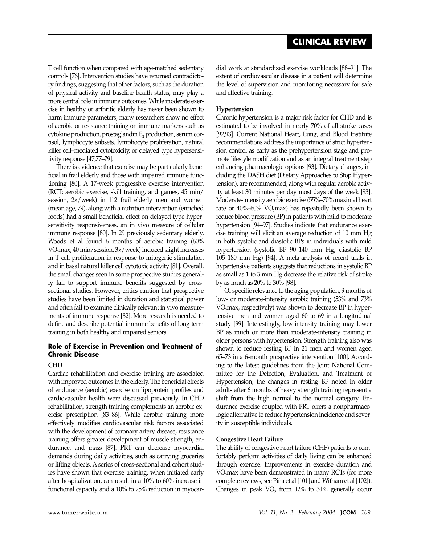T cell function when compared with age-matched sedentary controls [[76\]](#page-8-0). Intervention studies have returned contradictory findings, suggesting that other factors, such as the duration of physical activity and baseline health status, may play a more central role in immune outcomes. While moderate exercise in healthy or arthritic elderly has never been shown to harm immune parameters, many researchers show no effect of aerobic or resistance training on immune markers such as  $c$ ytokine production, prostaglandin  $E<sub>2</sub>$  production, serum cortisol, lymphocyte subsets, lymphocyte proliferation, natural killer cell–mediated cytotoxicity, or delayed type hypersensitivity response [47,77–79].

There is evidence that exercise may be particularly beneficial in frail elderly and those with impaired immune functioning [\[80\]](#page-8-0). A 17-week progressive exercise intervention (RCT; aerobic exercise, skill training, and games, 45 min/ session, 2×/week) in 112 frail elderly men and women (mean age, 79), along with a nutrition intervention (enriched foods) had a small beneficial effect on delayed type hypersensitivity responsiveness, an in vivo measure of cellular immune response [\[80\]](#page-8-0). In 29 previously sedentary elderly, Woods et al found 6 months of aerobic training (60% VO2max, 40 min/session, 3×/week) induced slight increases in T cell proliferation in response to mitogenic stimulation and in basal natural killer cell cytotoxic activity [[81](#page-8-0)]. Overall, the small changes seen in some prospective studies generally fail to support immune benefits suggested by crosssectional studies. However, critics caution that prospective studies have been limited in duration and statistical power and often fail to examine clinically relevant in vivo measurements of immune response [\[82\]](#page-8-0). More research is needed to define and describe potential immune benefits of long-term training in both healthy and impaired seniors.

### **Role of Exercise in Prevention and Treatment of Chronic Disease**

### **CHD**

Cardiac rehabilitation and exercise training are associated with improved outcomes in the elderly. The beneficial effects of endurance (aerobic) exercise on lipoprotein profiles and cardiovascular health were discussed previously. In CHD rehabilitation, strength training complements an aerobic exercise prescription [83–86]. While aerobic training more effectively modifies cardiovascular risk factors associated with the development of coronary artery disease, resistance training offers greater development of muscle strength, endurance, and mass [\[87\]](#page-8-0). PRT can decrease myocardial demands during daily activities, such as carrying groceries or lifting objects. A series of cross-sectional and cohort studies have shown that exercise training, when initiated early after hospitalization, can result in a 10% to 60% increase in functional capacity and a 10% to 25% reduction in myocardial work at standardized exercise workloads [88–91]. The extent of cardiovascular disease in a patient will determine the level of supervision and monitoring necessary for safe and effective training.

### **Hypertension**

Chronic hypertension is a major risk factor for CHD and is estimated to be involved in nearly 70% of all stroke cases [92,93]. Current National Heart, Lung, and Blood Institute recommendations address the importance of strict hypertension control as early as the prehypertension stage and promote lifestyle modification and as an integral treatment step enhancing pharmacologic options [[93](#page-8-0)]. Dietary changes, including the DASH diet (Dietary Approaches to Stop Hypertension), are recommended, along with regular aerobic activity at least 30 minutes per day most days of the week [\[93](#page-8-0)]. Moderate-intensity aerobic exercise (55%–70% maximal heart rate or  $40\% - 60\%$  VO<sub>2</sub>max) has repeatedly been shown to reduce blood pressure (BP) in patients with mild to moderate hypertension [94–97]. Studies indicate that endurance exercise training will elicit an average reduction of 10 mm Hg in both systolic and diastolic BPs in individuals with mild hypertension (systolic BP 90–140 mm Hg, diastolic BP 105–180 mm Hg) [[94\]](#page-8-0). A meta-analysis of recent trials in hypertensive patients suggests that reductions in systolic BP as small as 1 to 3 mm Hg decrease the relative risk of stroke by as much as 20% to 30% [\[98\]](#page-8-0).

Of specific relevance to the aging population, 9 months of low- or moderate-intensity aerobic training (53% and 73% VO<sub>2</sub>max, respectively) was shown to decrease BP in hypertensive men and women aged 60 to 69 in a longitudinal study [\[99](#page-8-0)]. Interestingly, low-intensity training may lower BP as much or more than moderate-intensity training in older persons with hypertension. Strength training also was shown to reduce resting BP in 21 men and women aged 65–73 in a 6-month prospective intervention [\[100](#page-8-0)]. According to the latest guidelines from the Joint National Committee for the Detection, Evaluation, and Treatment of Hypertension, the changes in resting BP noted in older adults after 6 months of heavy strength training represent a shift from the high normal to the normal category. Endurance exercise coupled with PRT offers a nonpharmacologic alternative to reduce hypertension incidence and severity in susceptible individuals.

### **Congestive Heart Failure**

The ability of congestive heart failure (CHF) patients to comfortably perform activities of daily living can be enhanced through exercise. Improvements in exercise duration and VO<sub>2</sub>max have been demonstrated in many RCTs (for more complete reviews, see Piña et al [\[101](#page-8-0)] and Witham et al [[102](#page-8-0)]). Changes in peak  $VO<sub>2</sub>$  from 12% to 31% generally occur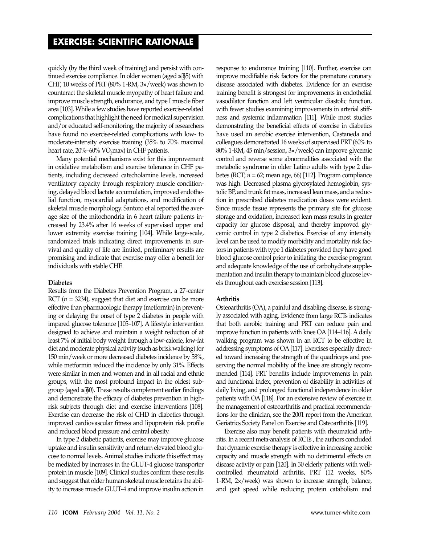quickly (by the third week of training) and persist with continued exercise compliance. In older women (aged  $\geq 65$ ) with CHF, 10 weeks of PRT (80% 1-RM, 3×/week) was shown to counteract the skeletal muscle myopathy of heart failure and improve muscle strength, endurance, and type I muscle fiber area [\[103\]](#page-8-0). While a few studies have reported exercise-related complications that highlight the need for medical supervision and/or educated self-monitoring, the majority of researchers have found no exercise-related complications with low- to moderate-intensity exercise training (35% to 70% maximal heart rate, 20%–60% VO<sub>2</sub>max) in CHF patients.

Many potential mechanisms exist for this improvement in oxidative metabolism and exercise tolerance in CHF patients, including decreased catecholamine levels, increased ventilatory capacity through respiratory muscle conditioning, delayed blood lactate accumulation, improved endothelial function, myocardial adaptations, and modification of skeletal muscle morphology. Santoro et al reported the average size of the mitochondria in 6 heart failure patients increased by 23.4% after 16 weeks of supervised upper and lower extremity exercise training [\[104\]](#page-9-0). While large-scale, randomized trials indicating direct improvements in survival and quality of life are limited, preliminary results are promising and indicate that exercise may offer a benefit for individuals with stable CHF.

#### **Diabetes**

Results from the Diabetes Prevention Program, a 27-center RCT  $(n = 3234)$ , suggest that diet and exercise can be more effective than pharmacologic therapy (metformin) in preventing or delaying the onset of type 2 diabetes in people with impared glucose tolerance [105–107]. A lifestyle intervention designed to achieve and maintain a weight reduction of at least 7% of initial body weight through a low-calorie, low-fat diet and moderate physical activity (such as brisk walking) for 150 min/week or more decreased diabetes incidence by 58%, while metformin reduced the incidence by only 31%. Effects were similar in men and women and in all racial and ethnic groups, with the most profound impact in the oldest subgroup (aged  $\geq 60$ ). These results complement earlier findings and demonstrate the efficacy of diabetes prevention in highrisk subjects through diet and exercise interventions [\[108\]](#page-9-0). Exercise can decrease the risk of CHD in diabetics through improved cardiovascular fitness and lipoprotein risk profile and reduced blood pressure and central obesity.

In type 2 diabetic patients, exercise may improve glucose uptake and insulin sensitivity and return elevated blood glucose to normal levels. Animal studies indicate this effect may be mediated by increases in the GLUT-4 glucose transporter protein in muscle [\[109\]](#page-9-0). Clinical studies confirm these results and suggest that older human skeletal muscle retains the ability to increase muscle GLUT-4 and improve insulin action in response to endurance training [\[110\]](#page-9-0). Further, exercise can improve modifiable risk factors for the premature coronary disease associated with diabetes. Evidence for an exercise training benefit is strongest for improvements in endothelial vasodilator function and left ventricular diastolic function, with fewer studies examining improvements in arterial stiffness and systemic inflammation [[111](#page-9-0)]. While most studies demonstrating the beneficial effects of exercise in diabetics have used an aerobic exercise intervention, Castaneda and colleagues demonstrated 16 weeks of supervised PRT (60% to 80% 1-RM, 45 min/session, 3×/week) can improve glycemic control and reverse some abnormalities associated with the metabolic syndrome in older Latino adults with type 2 diabetes (RCT; *n* = 62; mean age, 66) [112]. Program compliance was high. Decreased plasma glycosylated hemoglobin, systolic BP, and trunk fat mass, increased lean mass, and a reduction in prescribed diabetes medication doses were evident. Since muscle tissue represents the primary site for glucose storage and oxidation, increased lean mass results in greater capacity for glucose disposal, and thereby improved glycemic control in type 2 diabetics. Exercise of any intensity level can be used to modify morbidity and mortality risk factors in patients with type 1 diabetes provided they have good blood glucose control prior to initiating the exercise program and adequate knowledge of the use of carbohydrate supplementation and insulin therapy to maintain blood glucose levels throughout each exercise session [[113\]](#page-9-0).

#### **Arthritis**

Osteoarthritis (OA), a painful and disabling disease, is strongly associated with aging. Evidence from large RCTs indicates that both aerobic training and PRT can reduce pain and improve function in patients with knee OA [114–116]. A daily walking program was shown in an RCT to be effective in addressing symptoms of OA [\[117](#page-9-0)]. Exercises especially directed toward increasing the strength of the quadriceps and preserving the normal mobility of the knee are strongly recommended [\[114\]](#page-9-0). PRT benefits include improvements in pain and functional index, prevention of disability in activities of daily living, and prolonged functional independence in older patients with OA [\[118\]](#page-9-0). For an extensive review of exercise in the management of osteoarthritis and practical recommendations for the clinician, see the 2001 report from the American Geriatrics Society Panel on Exercise and Osteoarthritis [\[119](#page-9-0)].

Exercise also may benefit patients with rheumatoid arthritis. In a recent meta-analysis of RCTs , the authors concluded that dynamic exercise therapy is effective in increasing aerobic capacity and muscle strength with no detrimental effects on disease activity or pain [\[120\]](#page-9-0). In 30 elderly patients with wellcontrolled rheumatoid arthritis, PRT (12 weeks, 80% 1-RM, 2×/week) was shown to increase strength, balance, and gait speed while reducing protein catabolism and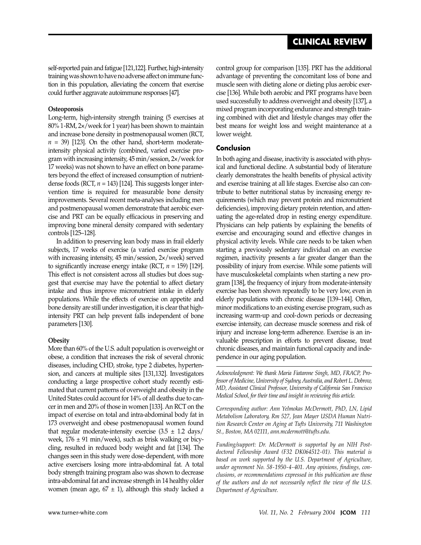self-reported pain and fatigue [121,122]. Further, high-intensity training was shown to have no adverse affect on immune function in this population, alleviating the concern that exercise could further aggravate autoimmune responses [\[47](#page-7-0)].

### **Osteoporosis**

Long-term, high-intensity strength training (5 exercises at 80% 1-RM, 2×/week for 1 year) has been shown to maintain and increase bone density in postmenopausal women (RCT,  $n = 39$ ) [123]. On the other hand, short-term moderateintensity physical activity (combined, varied exercise program with increasing intensity, 45 min/session, 2×/week for 17 weeks) was not shown to have an effect on bone parameters beyond the effect of increased consumption of nutrientdense foods (RCT, *n* = 143) [124]. This suggests longer intervention time is required for measurable bone density improvements. Several recent meta-analyses including men and postmenopausal women demonstrate that aerobic exercise and PRT can be equally efficacious in preserving and improving bone mineral density compared with sedentary controls [125–128].

In addition to preserving lean body mass in frail elderly subjects, 17 weeks of exercise (a varied exercise program with increasing intensity, 45 min/session, 2×/week) served to significantly increase energy intake (RCT,  $n = 159$ ) [129]. This effect is not consistent across all studies but does suggest that exercise may have the potential to affect dietary intake and thus improve micronutrient intake in elderly populations. While the effects of exercise on appetite and bone density are still under investigation, it is clear that highintensity PRT can help prevent falls independent of bone parameters [[130\]](#page-9-0).

### **Obesity**

More than 60% of the U.S. adult population is overweight or obese, a condition that increases the risk of several chronic diseases, including CHD, stroke, type 2 diabetes, hypertension, and cancers at multiple sites [131,132]. Investigators conducting a large prospective cohort study recently estimated that current patterns of overweight and obesity in the United States could account for 14% of all deaths due to cancer in men and 20% of those in women [\[133](#page-9-0)]. An RCT on the impact of exercise on total and intra-abdominal body fat in 173 overweight and obese postmenopausal women found that regular moderate-intensity exercise  $(3.5 \pm 1.2 \text{ days})$ week,  $176 \pm 91$  min/week), such as brisk walking or bicycling, resulted in reduced body weight and fat [[134\]](#page-9-0). The changes seen in this study were dose-dependent, with more active exercisers losing more intra-abdominal fat. A total body strength training program also was shown to decrease intra-abdominal fat and increase strength in 14 healthy older women (mean age,  $67 \pm 1$ ), although this study lacked a control group for comparison [\[135\]](#page-9-0). PRT has the additional advantage of preventing the concomitant loss of bone and muscle seen with dieting alone or dieting plus aerobic exercise [\[136](#page-9-0)]. While both aerobic and PRT programs have been used successfully to address overweight and obesity [137], a mixed program incorporating endurance and strength training combined with diet and lifestyle changes may offer the best means for weight loss and weight maintenance at a lower weight.

### **Conclusion**

In both aging and disease, inactivity is associated with physical and functional decline. A substantial body of literature clearly demonstrates the health benefits of physical activity and exercise training at all life stages. Exercise also can contribute to better nutritional status by increasing energy requirements (which may prevent protein and micronutrient deficiencies), improving dietary protein retention, and attenuating the age-related drop in resting energy expenditure. Physicians can help patients by explaining the benefits of exercise and encouraging sound and effective changes in physical activity levels. While care needs to be taken when starting a previously sedentary individual on an exercise regimen, inactivity presents a far greater danger than the possibility of injury from exercise. While some patients will have musculoskeletal complaints when starting a new program [138], the frequency of injury from moderate-intensity exercise has been shown repeatedly to be very low, even in elderly populations with chronic disease [139–144]. Often, minor modifications to an existing exercise program, such as increasing warm-up and cool-down periods or decreasing exercise intensity, can decrease muscle soreness and risk of injury and increase long-term adherence. Exercise is an invaluable prescription in efforts to prevent disease, treat chronic diseases, and maintain functional capacity and independence in our aging population.

*Acknowledgment: We thank Maria Fiatarone Singh, MD, FRACP, Professor of Medicine, University of Sydney, Australia, and Robert L. Dobrow, MD, Assistant Clinical Professor, University of California San Francisco Medical School, for their time and insight in reviewing this article.* 

*Corresponding author: Ann Yelmokas McDermott, PhD, LN, Lipid Metabolism Laboratory, Rm 527, Jean Mayer USDA Human Nutrition Research Center on Aging at Tufts University, 711 Washington St., Boston, MA 02111, ann.mcdermott@tufts.edu.* 

*Funding/support: Dr. McDermott is supported by an NIH Postdoctoral Fellowship Award (F32 DK064512-01). This material is based on work supported by the U.S. Department of Agriculture, under agreement No. 58-1950-4-401. Any opinions, findings, conclusions, or recommendations expressed in this publication are those of the authors and do not necessarily reflect the view of the U.S. Department of Agriculture.*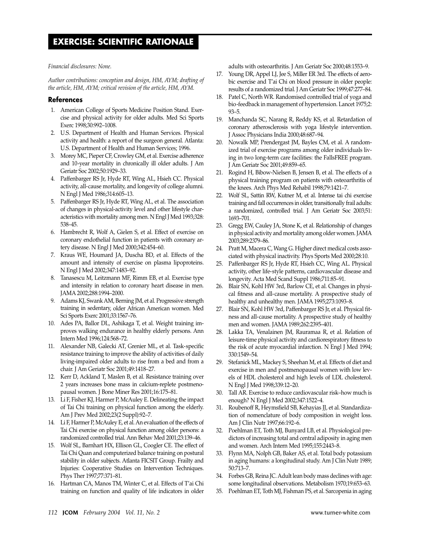<span id="page-6-0"></span>*Financial disclosures: None.* 

*Author contributions: conception and design, HM, AYM; drafting of the article, HM, AYM; critical revision of the article, HM, AYM.* 

### **References**

- 1. American College of Sports Medicine Position Stand. Exercise and physical activity for older adults. Med Sci Sports Exerc 1998;30:992–1008.
- 2. U.S. Department of Health and Human Services. Physical activity and health: a report of the surgeon general. Atlanta: U.S. Department of Health and Human Services; 1996.
- 3. Morey MC, Pieper CF, Crowley GM, et al. Exercise adherence and 10-year mortality in chronically ill older adults. J Am Geriatr Soc 2002;50:1929–33.
- 4. Paffenbarger RS Jr, Hyde RT, Wing AL, Hsieh CC. Physical activity, all-cause mortality, and longevity of college alumni. N Engl J Med 1986;314:605–13.
- 5. Paffenbarger RS Jr, Hyde RT, Wing AL, et al. The association of changes in physical-activity level and other lifestyle characteristics with mortality among men. N Engl J Med 1993;328: 538–45.
- 6. Hambrecht R, Wolf A, Gielen S, et al. Effect of exercise on coronary endothelial function in patients with coronary artery disease. N Engl J Med 2000;342:454–60.
- 7. Kraus WE, Houmard JA, Duscha BD, et al. Effects of the amount and intensity of exercise on plasma lipoproteins. N Engl J Med 2002;347:1483–92.
- 8. Tanasescu M, Leitzmann MF, Rimm EB, et al. Exercise type and intensity in relation to coronary heart disease in men. JAMA 2002;288:1994–2000.
- 9. Adams KJ, Swank AM, Berning JM, et al. Progressive strength training in sedentary, older African American women. Med Sci Sports Exerc 2001;33:1567–76.
- 10. Ades PA, Ballor DL, Ashikaga T, et al. Weight training improves walking endurance in healthy elderly persons. Ann Intern Med 1996;124:568–72.
- 11. Alexander NB, Galecki AT, Grenier ML, et al. Task-specific resistance training to improve the ability of activities of daily living-impaired older adults to rise from a bed and from a chair. J Am Geriatr Soc 2001;49:1418–27.
- 12. Kerr D, Ackland T, Maslen B, et al. Resistance training over 2 years increases bone mass in calcium-replete postmenopausal women. J Bone Miner Res 2001;16:175–81.
- 13. Li F, Fisher KJ, Harmer P, McAuley E. Delineating the impact of Tai Chi training on physical function among the elderly. Am J Prev Med 2002;23(2 Suppl):92–7.
- 14. Li F, Harmer P, McAuley E, et al. An evaluation of the effects of Tai Chi exercise on physical function among older persons: a randomized controlled trial. Ann Behav Med 2001;23:139–46.
- 15. Wolf SL, Barnhart HX, Ellison GL, Coogler CE. The effect of Tai Chi Quan and computerized balance training on postural stability in older subjects. Atlanta FICSIT Group. Frailty and Injuries: Cooperative Studies on Intervention Techniques. Phys Ther 1997;77:371–81.
- 16. Hartman CA, Manos TM, Winter C, et al. Effects of T'ai Chi training on function and quality of life indicators in older

adults with osteoarthritis. J Am Geriatr Soc 2000;48:1553–9.

- 17. Young DR, Appel LJ, Jee S, Miller ER 3rd. The effects of aerobic exercise and T'ai Chi on blood pressure in older people: results of a randomized trial. J Am Geriatr Soc 1999;47:277–84.
- 18. Patel C, North WR. Randomised controlled trial of yoga and bio-feedback in management of hypertension. Lancet 1975;2: 93–5.
- 19. Manchanda SC, Narang R, Reddy KS, et al. Retardation of coronary atherosclerosis with yoga lifestyle intervention. J Assoc Physicians India 2000;48:687–94.
- 20. Nowalk MP, Prendergast JM, Bayles CM, et al. A randomized trial of exercise programs among older individuals living in two long-term care facilities: the FallsFREE program. J Am Geriatr Soc 2001;49:859–65.
- 21. Rogind H, Bibow-Nielsen B, Jensen B, et al. The effects of a physical training program on patients with osteoarthritis of the knees. Arch Phys Med Rehabil 1998;79:1421–7.
- 22. Wolf SL, Sattin RW, Kutner M, et al. Intense tai chi exercise training and fall occurrences in older, transitionally frail adults: a randomized, controlled trial. J Am Geriatr Soc 2003;51: 1693–701.
- 23. Gregg EW, Cauley JA, Stone K, et al. Relationship of changes in physical activity and mortality among older women. JAMA 2003;289:2379–86.
- 24. Pratt M, Macera C, Wang G. Higher direct medical costs associated with physical inactivity. Phys Sports Med 2000;28:10.
- 25. Paffenbarger RS Jr, Hyde RT, Hsieh CC, Wing AL. Physical activity, other life-style patterns, cardiovascular disease and longevity. Acta Med Scand Suppl 1986;711:85–91.
- 26. Blair SN, Kohl HW 3rd, Barlow CE, et al. Changes in physical fitness and all-cause mortality. A prospective study of healthy and unhealthy men. JAMA 1995;273:1093–8.
- 27. Blair SN, Kohl HW 3rd, Paffenbarger RS Jr, et al. Physical fitness and all-cause mortality. A prospective study of healthy men and women. JAMA 1989;262:2395–401.
- 28. Lakka TA, Venalainen JM, Rauramaa R, et al. Relation of leisure-time physical activity and cardiorespiratory fitness to the risk of acute myocardial infarction. N Engl J Med 1994; 330:1549–54.
- 29. Stefanick ML, Mackey S, Sheehan M, et al. Effects of diet and exercise in men and postmenopausal women with low levels of HDL cholesterol and high levels of LDL cholesterol. N Engl J Med 1998;339:12–20.
- 30. Tall AR. Exercise to reduce cardiovascular risk–how much is enough? N Engl J Med 2002;347:1522–4.
- 31. Roubenoff R, Heymsfield SB, Kehayias JJ, et al. Standardization of nomenclature of body composition in weight loss. Am J Clin Nutr 1997;66:192–6.
- 32. Poehlman ET, Toth MJ, Bunyard LB, et al. Physiological predictors of increasing total and central adiposity in aging men and women. Arch Intern Med 1995;155:2443–8.
- 33. Flynn MA, Nolph GB, Baker AS, et al. Total body potassium in aging humans: a longitudinal study. Am J Clin Nutr 1989; 50:713–7.
- 34. Forbes GB, Reina JC. Adult lean body mass declines with age: some longitudinal observations. Metabolism 1970;19:653–63.
- 35. Poehlman ET, Toth MJ, Fishman PS, et al. Sarcopenia in aging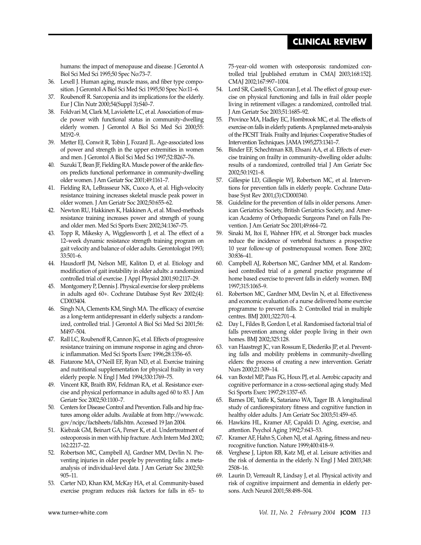# **CLINICAL REVIEW**

<span id="page-7-0"></span>humans: the impact of menopause and disease. J Gerontol A Biol Sci Med Sci 1995;50 Spec No:73–7.

- 36. Lexell J. Human aging, muscle mass, and fiber type composition. J Gerontol A Biol Sci Med Sci 1995;50 Spec No:11–6.
- 37. Roubenoff R. Sarcopenia and its implications for the elderly. Eur J Clin Nutr 2000;54(Suppl 3):S40–7.
- 38. Foldvari M, Clark M, Laviolette LC, et al. Association of muscle power with functional status in community-dwelling elderly women. J Gerontol A Biol Sci Med Sci 2000;55: M192–9.
- 39. Metter EJ, Conwit R, Tobin J, Fozard JL. Age-associated loss of power and strength in the upper extremities in women and men. J Gerontol A Biol Sci Med Sci 1997;52:B267–76.
- 40. Suzuki T, Bean JF, Fielding RA. Muscle power of the ankle flexors predicts functional performance in community-dwelling older women. J Am Geriatr Soc 2001;49:1161–7.
- 41. Fielding RA, LeBrasseur NK, Cuoco A, et al. High-velocity resistance training increases skeletal muscle peak power in older women. J Am Geriatr Soc 2002;50:655–62.
- 42. Newton RU, Hakkinen K, Hakkinen A, et al. Mixed-methods resistance training increases power and strength of young and older men. Med Sci Sports Exerc 2002;34:1367–75.
- 43. Topp R, Mikesky A, Wigglesworth J, et al. The effect of a 12–week dynamic resistance strength training program on gait velocity and balance of older adults. Gerontologist 1993; 33:501–6.
- 44. Hausdorff JM, Nelson ME, Kaliton D, et al. Etiology and modification of gait instability in older adults: a randomized controlled trial of exercise. J Appl Physiol 2001;90:2117–29.
- 45. Montgomery P, Dennis J. Physical exercise for sleep problems in adults aged 60+. Cochrane Database Syst Rev 2002;(4): CD003404.
- 46. Singh NA, Clements KM, Singh MA. The efficacy of exercise as a long-term antidepressant in elderly subjects: a randomized, controlled trial. J Gerontol A Biol Sci Med Sci 2001;56: M497–504.
- 47. Rall LC, Roubenoff R, Cannon JG, et al. Effects of progressive resistance training on immune response in aging and chronic inflammation. Med Sci Sports Exerc 1996;28:1356–65.
- 48. Fiatarone MA, O'Neill EF, Ryan ND, et al. Exercise training and nutritional supplementation for physical frailty in very elderly people. N Engl J Med 1994;330:1769–75.
- 49. Vincent KR, Braith RW, Feldman RA, et al. Resistance exercise and physical performance in adults aged 60 to 83. J Am Geriatr Soc 2002;50:1100–7.
- 50. Centers for Disease Control and Prevention. Falls and hip fractures among older adults. Available at from http://www.cdc. gov/ncipc/factsheets/falls.htm. Accessed 19 Jan 2004.
- 51. Kiebzak GM, Beinart GA, Perser K, et al. Undertreatment of osteoporosis in men with hip fracture. Arch Intern Med 2002; 162:2217–22.
- 52. Robertson MC, Campbell AJ, Gardner MM, Devlin N. Preventing injuries in older people by preventing falls: a metaanalysis of individual-level data. J Am Geriatr Soc 2002;50: 905–11.
- 53. Carter ND, Khan KM, McKay HA, et al. Community-based exercise program reduces risk factors for falls in 65- to

75-year-old women with osteoporosis: randomized controlled trial [published erratum in CMAJ 2003;168:152]. CMAJ 2002;167:997–1004.

- 54. Lord SR, Castell S, Corcoran J, et al. The effect of group exercise on physical functioning and falls in frail older people living in retirement villages: a randomized, controlled trial. J Am Geriatr Soc 2003;51:1685–92.
- 55. Province MA, Hadley EC, Hornbrook MC, et al. The effects of exercise on falls in elderly patients. A preplanned meta-analysis of the FICSIT Trials. Frailty and Injuries: Cooperative Studies of Intervention Techniques. JAMA 1995;273:1341–7.
- 56. Binder EF, Schechtman KB, Ehsani AA, et al. Effects of exercise training on frailty in community-dwelling older adults: results of a randomized, controlled trial J Am Geriatr Soc 2002;50:1921–8.
- 57. Gillespie LD, Gillespie WJ, Robertson MC, et al. Interventions for prevention falls in elderly people. Cochrane Database Syst Rev 2001;(3):CD000340.
- 58. Guideline for the prevention of falls in older persons. American Geriatrics Society, British Geriatrics Society, and American Academy of Orthopaedic Surgeons Panel on Falls Prevention. J Am Geriatr Soc 2001;49:664–72.
- 59. Sinaki M, Itoi E, Wahner HW, et al. Stronger back muscles reduce the incidence of vertebral fractures: a prospective 10 year follow-up of postmenopausal women. Bone 2002; 30:836–41.
- 60. Campbell AJ, Robertson MC, Gardner MM, et al. Randomised controlled trial of a general practice programme of home based exercise to prevent falls in elderly women. BMJ 1997;315:1065–9.
- 61. Robertson MC, Gardner MM, Devlin N, et al. Effectiveness and economic evaluation of a nurse delivered home exercise programme to prevent falls. 2: Controlled trial in multiple centres. BMJ 2001;322:701–4.
- 62. Day L, Fildes B, Gordon I, et al. Randomised factorial trial of falls prevention among older people living in their own homes. BMJ 2002;325:128.
- 63. van Haastregt JC, van Rossum E, Diederiks JP, et al. Preventing falls and mobility problems in community-dwelling elders: the process of creating a new intervention. Geriatr Nurs 2000;21:309–14.
- 64. van Boxtel MP, Paas FG, Houx PJ, et al. Aerobic capacity and cognitive performance in a cross-sectional aging study. Med Sci Sports Exerc 1997;29:1357–65.
- 65. Barnes DE, Yaffe K, Satariano WA, Tager IB. A longitudinal study of cardiorespiratory fitness and cognitive function in healthy older adults. J Am Geriatr Soc 2003;51:459–65.
- 66. Hawkins HL, Kramer AF, Capaldi D. Aging, exercise, and attention. Psychol Aging 1992;7:643–53.
- 67. Kramer AF, Hahn S, Cohen NJ, et al. Ageing, fitness and neurocognitive function. Nature 1999;400:418–9.
- 68. Verghese J, Lipton RB, Katz MJ, et al. Leisure activities and the risk of dementia in the elderly. N Engl J Med 2003;348: 2508–16.
- 69. Laurin D, Verreault R, Lindsay J, et al. Physical activity and risk of cognitive impairment and dementia in elderly persons. Arch Neurol 2001;58:498–504.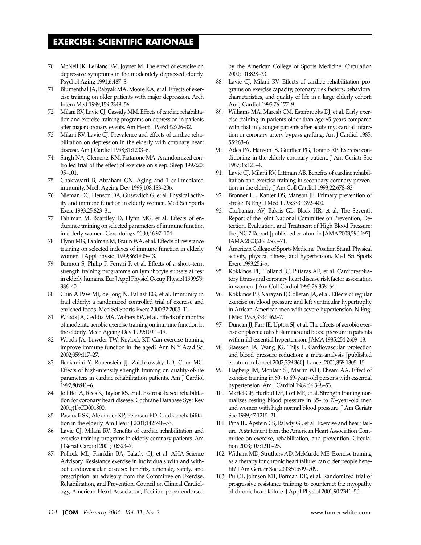- <span id="page-8-0"></span>70. McNeil JK, LeBlanc EM, Joyner M. The effect of exercise on depressive symptoms in the moderately depressed elderly. Psychol Aging 1991;6:487–8.
- 71. Blumenthal JA, Babyak MA, Moore KA, et al. Effects of exercise training on older patients with major depression. Arch Intern Med 1999;159:2349–56.
- 72. Milani RV, Lavie CJ, Cassidy MM. Effects of cardiac rehabilitation and exercise training programs on depression in patients after major coronary events. Am Heart J 1996;132:726–32.
- 73. Milani RV, Lavie CJ. Prevalence and effects of cardiac rehabilitation on depression in the elderly with coronary heart disease. Am J Cardiol 1998;81:1233–6.
- 74. Singh NA, Clements KM, Fiatarone MA. A randomized controlled trial of the effect of exercise on sleep. Sleep 1997;20: 95–101.
- 75. Chakravarti B, Abraham GN. Aging and T-cell-mediated immunity. Mech Ageing Dev 1999;108:183–206.
- 76. Nieman DC, Henson DA, Gusewitch G, et al. Physical activity and immune function in elderly women. Med Sci Sports Exerc 1993;25:823–31.
- 77. Fahlman M, Boardley D, Flynn MG, et al. Effects of endurance training on selected parameters of immune function in elderly women. Gerontology 2000;46:97–104.
- 78. Flynn MG, Fahlman M, Braun WA, et al. Effects of resistance training on selected indexes of immune function in elderly women. J Appl Physiol 1999;86:1905–13.
- 79. Bermon S, Philip P, Ferrari P, et al. Effects of a short–term strength training programme on lymphocyte subsets at rest in elderly humans. Eur J Appl Physiol Occup Physiol 1999;79: 336–40.
- 80. Chin A Paw MJ, de Jong N, Pallast EG, et al. Immunity in frail elderly: a randomized controlled trial of exercise and enriched foods. Med Sci Sports Exerc 2000;32:2005–11.
- 81. Woods JA, Ceddia MA, Wolters BW, et al. Effects of 6 months of moderate aerobic exercise training on immune function in the elderly. Mech Ageing Dev 1999;109:1–19.
- 82. Woods JA, Lowder TW, Keylock KT. Can exercise training improve immune function in the aged? Ann N Y Acad Sci 2002;959:117–27.
- 83. Beniamini Y, Rubenstein JJ, Zaichkowsky LD, Crim MC. Effects of high-intensity strength training on quality-of-life parameters in cardiac rehabilitation patients. Am J Cardiol 1997;80:841–6.
- 84. Jolliffe JA, Rees K, Taylor RS, et al. Exercise-based rehabilitation for coronary heart disease. Cochrane Database Syst Rev 2001;(1):CD001800.
- 85. Pasquali SK, Alexander KP, Peterson ED. Cardiac rehabilitation in the elderly. Am Heart J 2001;142:748–55.
- 86. Lavie CJ, Milani RV. Benefits of cardiac rehabilitation and exercise training programs in elderly coronary patients. Am J Geriat Cardiol 2001;10:323–7.
- 87. Pollock ML, Franklin BA, Balady GJ, et al. AHA Science Advisory. Resistance exercise in individuals with and without cardiovascular disease: benefits, rationale, safety, and prescription: an advisory from the Committee on Exercise, Rehabilitation, and Prevention, Council on Clinical Cardiology, American Heart Association; Position paper endorsed

by the American College of Sports Medicine. Circulation 2000;101:828–33.

- 88. Lavie CJ, Milani RV. Effects of cardiac rehabilitation programs on exercise capacity, coronary risk factors, behavioral characteristics, and quality of life in a large elderly cohort. Am J Cardiol 1995;76:177–9.
- 89. Williams MA, Maresh CM, Esterbrooks DJ, et al. Early exercise training in patients older than age 65 years compared with that in younger patients after acute myocardial infarction or coronary artery bypass grafting. Am J Cardiol 1985; 55:263–6.
- 90. Ades PA, Hanson JS, Gunther PG, Tonino RP. Exercise conditioning in the elderly coronary patient. J Am Geriatr Soc 1987;35:121–4.
- 91. Lavie CJ, Milani RV, Littman AB. Benefits of cardiac rehabilitation and exercise training in secondary coronary prevention in the elderly. J Am Coll Cardiol 1993;22:678–83.
- 92. Bronner LL, Kanter DS, Manson JE. Primary prevention of stroke. N Engl J Med 1995;333:1392–400.
- 93. Chobanian AV, Bakris GL, Black HR, et al. The Seventh Report of the Joint National Committee on Prevention, Detection, Evaluation, and Treatment of High Blood Pressure: the JNC 7 Report [published erratum in JAMA 2003;290:197]. JAMA 2003;289:2560–71.
- American College of Sports Medicine. Position Stand. Physical activity, physical fitness, and hypertension. Med Sci Sports Exerc 1993;25:i–x.
- 95. Kokkinos PF, Holland JC, Pittaras AE, et al. Cardiorespiratory fitness and coronary heart disease risk factor association in women. J Am Coll Cardiol 1995;26:358–64.
- 96. Kokkinos PF, Narayan P, Colleran JA, et al. Effects of regular exercise on blood pressure and left ventricular hypertrophy in African-American men with severe hypertension. N Engl J Med 1995;333:1462–7.
- 97. Duncan JJ, Farr JE, Upton SJ, et al. The effects of aerobic exercise on plasma catecholamines and blood pressure in patients with mild essential hypertension. JAMA 1985;254:2609–13.
- 98. Staessen JA, Wang JG, Thijs L. Cardiovascular protection and blood pressure reduction: a meta-analysis [published erratum in Lancet 2002;359:360]. Lancet 2001;358:1305–15.
- 99. Hagberg JM, Montain SJ, Martin WH, Ehsani AA. Effect of exercise training in 60- to 69-year-old persons with essential hypertension. Am J Cardiol 1989;64:348–53.
- 100. Martel GF, Hurlbut DE, Lott ME, et al. Strength training normalizes resting blood pressure in 65- to 73-year-old men and women with high normal blood pressure. J Am Geriatr Soc 1999;47:1215–21.
- 101. Pina IL, Apstein CS, Balady GJ, et al. Exercise and heart failure: A statement from the American Heart Association Committee on exercise, rehabilitation, and prevention. Circulation 2003;107:1210–25.
- 102. Witham MD, Struthers AD, McMurdo ME. Exercise training as a therapy for chronic heart failure: can older people benefit? J Am Geriatr Soc 2003;51:699–709.
- 103. Pu CT, Johnson MT, Forman DE, et al. Randomized trial of progressive resistance training to counteract the myopathy of chronic heart failure. J Appl Physiol 2001;90:2341–50.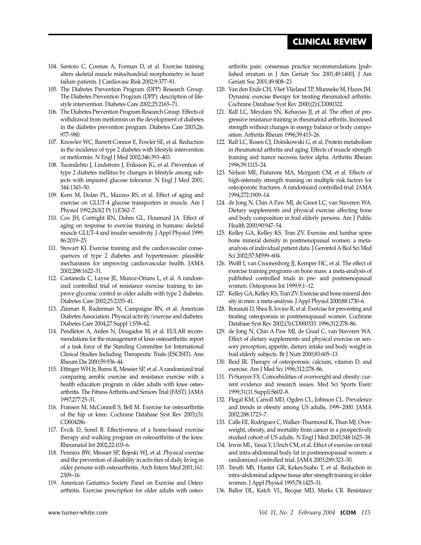# **CLINICAL REVIEW**

- <span id="page-9-0"></span>104. Santoro C, Cosmas A, Forman D, et al. Exercise training alters skeletal muscle mitochondrial morphometry in heart failure patients. J Cardiovasc Risk 2002;9:377–81.
- 105. The Diabetes Prevention Program (DPP) Research Group. The Diabetes Prevention Program (DPP): description of lifestyle intervention. Diabetes Care 2002;25:2165–71.
- 106. The Diabetes Prevention Program Research Group. Effects of withdrawal from metformin on the development of diabetes in the diabetes prevention program. Diabetes Care 2003;26: 977–980.
- 107. Knowler WC, Barrett-Connor E, Fowler SE, et al. Reduction in the incidence of type 2 diabetes with lifestyle intervention or metformin. N Engl J Med 2002;346:393–403.
- 108. Tuomilehto J, Lindstrom J, Eriksson JG, et al. Prevention of type 2 diabetes mellitus by changes in lifestyle among subjects with impaired glucose tolerance. N Engl J Med 2001; 344:1343–50.
- 109. Kern M, Dolan PL, Mazzeo RS, et al. Effect of aging and exercise on GLUT-4 glucose transporters in muscle. Am J Physiol 1992;263(2 Pt 1):E362–7.
- 110. Cox JH, Cortright RN, Dohm GL, Houmard JA. Effect of aging on response to exercise training in humans: skeletal muscle GLUT-4 and insulin sensitivity. J Appl Physiol 1999; 86:2019–25.
- 111. Stewart KJ. Exercise training and the cardiovascular consequences of type 2 diabetes and hypertension: plausible mechanisms for improving cardiovascular health. JAMA 2002;288:1622–31.
- 112. Castaneda C, Layne JE, Munoz-Orians L, et al. A randomized controlled trial of resistance exercise training to improve glycemic control in older adults with type 2 diabetes. Diabetes Care 2002;25:2335–41.
- 113. Zinman B, Ruderman N, Campaigne BN, et al. American Diabetes Association. Physical activity/exercise and diabetes. Diabetes Care 2004;27 Suppl 1:S58–62.
- 114. Pendleton A, Arden N, Dougados M, et al. EULAR recommendations for the management of knee osteoarthritis: report of a task force of the Standing Committee for International Clinical Studies Including Therapeutic Trials (ESCISIT). Ann Rheum Dis 2000;59:936–44.
- 115. Ettinger WH Jr, Burns R, Messier SP, et al. A randomized trial comparing aerobic exercise and resistance exercise with a health education program in older adults with knee osteoarthritis. The Fitness Arthritis and Seniors Trial (FAST). JAMA 1997;277:25–31.
- 116. Fransen M, McConnell S, Bell M. Exercise for osteoarthritis of the hip or knee. Cochrane Database Syst Rev 2003;(3): CD004286.
- 117. Evcik D, Sonel B. Effectiveness of a home-based exercise therapy and walking program on osteoarthritis of the knee. Rheumatol Int 2002;22:103–6.
- 118. Penninx BW, Messier SP, Rejeski WJ, et al. Physical exercise and the prevention of disability in activities of daily living in older persons with osteoarthritis. Arch Intern Med 2001;161: 2309–16.
- 119. American Geriatrics Society Panel on Exercise and Osteoarthritis. Exercise prescription for older adults with osteo-

arthritis pain: consensus practice recommendations [published erratum in J Am Geriatr Soc 2001;49:1400]. J Am Geriatr Soc 2001;49:808–23.

- 120. Van den Ende CH, Vliet Vlieland TP, Munneke M, Hazes JM. Dynamic exercise therapy for treating rheumatoid arthritis. Cochrane Database Syst Rev 2000;(2):CD000322.
- 121. Rall LC, Meydani SN, Kehayias JJ, et al. The effect of progressive resistance training in rheumatoid arthritis. Increased strength without changes in energy balance or body composition. Arthritis Rheum 1996;39:415–26.
- 122. Rall LC, Rosen CJ, Dolnikowski G, et al. Protein metabolism in rheumatoid arthritis and aging. Effects of muscle strength training and tumor necrosis factor alpha. Arthritis Rheum 1996;39:1115–24.
- 123. Nelson ME, Fiatarone MA, Morganti CM, et al. Effects of high-intensity strength training on multiple risk factors for osteoporotic fractures. A randomized controlled trial. JAMA 1994;272:1909–14.
- 124. de Jong N, Chin A Paw MJ, de Groot LC, van Staveren WA. Dietary supplements and physical exercise affecting bone and body composition in frail elderly persons. Am J Public Health 2000;90:947–54.
- 125. Kelley GA, Kelley KS, Tran ZV. Exercise and lumbar spine bone mineral density in postmenopausal women: a metaanalysis of individual patient data. J Gerontol A Biol Sci Med Sci 2002;57:M599–604.
- 126. Wolff I, van Croonenborg JJ, Kemper HC, et al. The effect of exercise training programs on bone mass: a meta-analysis of published controlled trials in pre- and postmenopausal women. Osteoporos Int 1999;9:1–12.
- 127. Kelley GA, Kelley KS, Tran ZV. Exercise and bone mineral density in men: a meta-analysis. J Appl Physiol 2000;88:1730–6.
- 128. Bonaiuti D, Shea B, Iovine R, et al. Exercise for preventing and treating osteoporosis in postmenopausal women. Cochrane Database Syst Rev 2002;(3):CD000333. 1996;312:278–86.
- 129. de Jong N, Chin A Paw MJ, de Graaf C, van Staveren WA. Effect of dietary supplements and physical exercise on sensory perception, appetite, dietary intake and body weight in frail elderly subjects. Br J Nutr 2000;83:605–13.
- 130. Reid IR. Therapy of osteoporosis: calcium, vitamin D, and exercise. Am J Med Sci 1996;312:278–86.
- 131. Pi-Sunyer FX. Comorbidities of overweight and obesity: current evidence and research issues. Med Sci Sports Exerc 1999;31(11 Suppl):S602–8.
- 132. Flegal KM, Carroll MD, Ogden CL, Johnson CL. Prevalence and trends in obesity among US adults, 1999-2000. JAMA 2002;288:1723–7.
- 133. Calle EE, Rodriguez C, Walker-Thurmond K, Thun MJ. Overweight, obesity, and mortality from cancer in a prospectively studied cohort of US adults. N Engl J Med 2003;348:1625–38.
- 134. Irwin ML, Yasui Y, Ulrich CM, et al. Effect of exercise on total and intra-abdominal body fat in postmenopausal women: a randomized controlled trial. JAMA 2003;289:323–30.
- 135. Treuth MS, Hunter GR, Kekes-Szabo T, et al. Reduction in intra–abdominal adipose tissue after strength training in older women. J Appl Physiol 1995;78:1425–31.
- 136. Ballor DL, Katch VL, Becque MD, Marks CR. Resistance